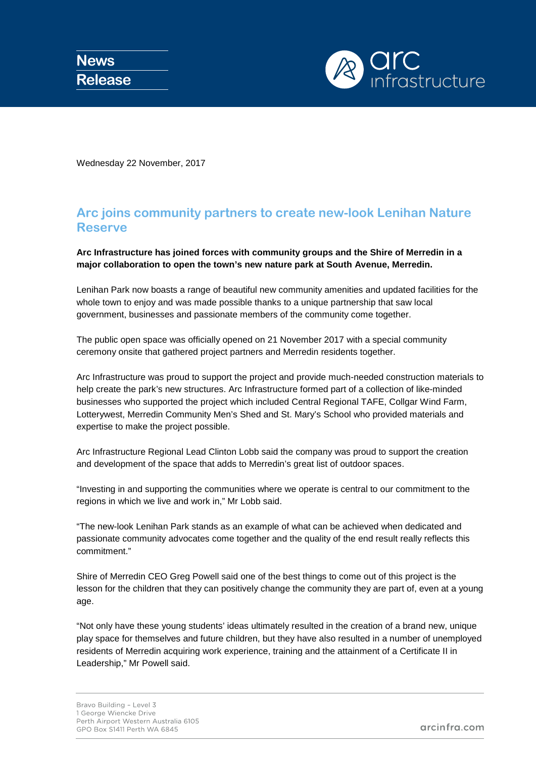

Wednesday 22 November, 2017

## **Arc joins community partners to create new-look Lenihan Nature Reserve**

## **Arc Infrastructure has joined forces with community groups and the Shire of Merredin in a major collaboration to open the town's new nature park at South Avenue, Merredin.**

Lenihan Park now boasts a range of beautiful new community amenities and updated facilities for the whole town to enjoy and was made possible thanks to a unique partnership that saw local government, businesses and passionate members of the community come together.

The public open space was officially opened on 21 November 2017 with a special community ceremony onsite that gathered project partners and Merredin residents together.

Arc Infrastructure was proud to support the project and provide much-needed construction materials to help create the park's new structures. Arc Infrastructure formed part of a collection of like-minded businesses who supported the project which included Central Regional TAFE, Collgar Wind Farm, Lotterywest, Merredin Community Men's Shed and St. Mary's School who provided materials and expertise to make the project possible.

Arc Infrastructure Regional Lead Clinton Lobb said the company was proud to support the creation and development of the space that adds to Merredin's great list of outdoor spaces.

"Investing in and supporting the communities where we operate is central to our commitment to the regions in which we live and work in," Mr Lobb said.

"The new-look Lenihan Park stands as an example of what can be achieved when dedicated and passionate community advocates come together and the quality of the end result really reflects this commitment."

Shire of Merredin CEO Greg Powell said one of the best things to come out of this project is the lesson for the children that they can positively change the community they are part of, even at a young age.

"Not only have these young students' ideas ultimately resulted in the creation of a brand new, unique play space for themselves and future children, but they have also resulted in a number of unemployed residents of Merredin acquiring work experience, training and the attainment of a Certificate II in Leadership," Mr Powell said.